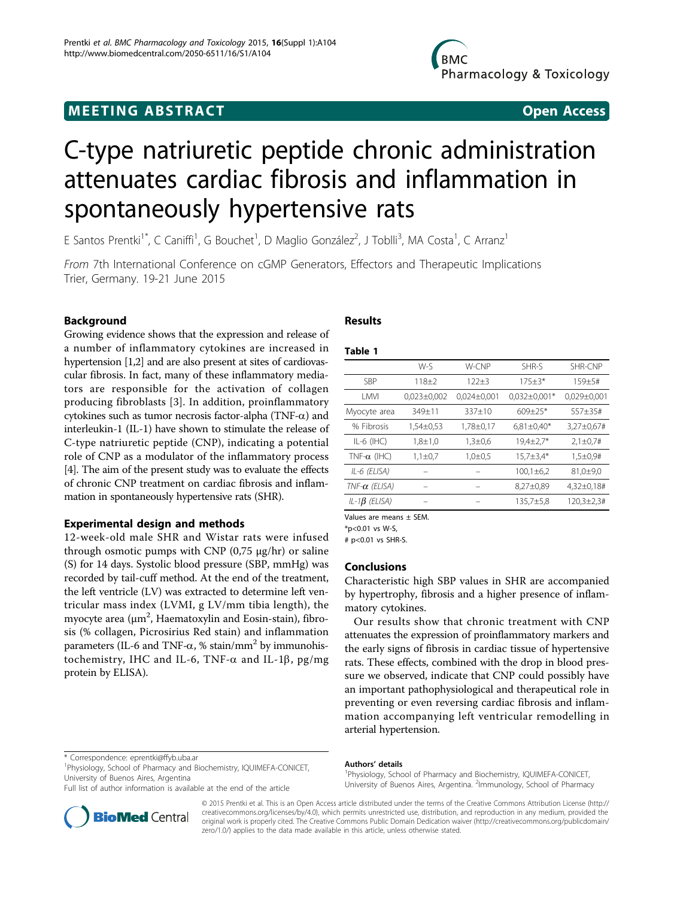# C-type natriuretic peptide chronic administration attenuates cardiac fibrosis and inflammation in spontaneously hypertensive rats

E Santos Prentki<sup>1\*</sup>, C Caniffi<sup>1</sup>, G Bouchet<sup>1</sup>, D Maglio González<sup>2</sup>, J Toblli<sup>3</sup>, MA Costa<sup>1</sup>, C Arranz<sup>1</sup>

From 7th International Conference on cGMP Generators, Effectors and Therapeutic Implications Trier, Germany. 19-21 June 2015

# Background

Growing evidence shows that the expression and release of a number of inflammatory cytokines are increased in hypertension [\[1,2](#page-1-0)] and are also present at sites of cardiovascular fibrosis. In fact, many of these inflammatory mediators are responsible for the activation of collagen producing fibroblasts [[3](#page-1-0)]. In addition, proinflammatory cytokines such as tumor necrosis factor-alpha (TNF- $\alpha$ ) and interleukin-1 (IL-1) have shown to stimulate the release of C-type natriuretic peptide (CNP), indicating a potential role of CNP as a modulator of the inflammatory process [[4](#page-1-0)]. The aim of the present study was to evaluate the effects of chronic CNP treatment on cardiac fibrosis and inflammation in spontaneously hypertensive rats (SHR).

# Experimental design and methods

12-week-old male SHR and Wistar rats were infused through osmotic pumps with CNP  $(0.75 \text{ µg/hr})$  or saline (S) for 14 days. Systolic blood pressure (SBP, mmHg) was recorded by tail-cuff method. At the end of the treatment, the left ventricle (LV) was extracted to determine left ventricular mass index (LVMI, g LV/mm tibia length), the myocyte area ( $\mu$ m<sup>2</sup>, Haematoxylin and Eosin-stain), fibrosis (% collagen, Picrosirius Red stain) and inflammation parameters (IL-6 and TNF- $\alpha$ , % stain/mm<sup>2</sup> by immunohistochemistry, IHC and IL-6, TNF- $\alpha$  and IL-1 $\beta$ , pg/mg protein by ELISA).

\* Correspondence: [eprentki@ffyb.uba.ar](mailto:eprentki@ffyb.uba.ar)

1 Physiology, School of Pharmacy and Biochemistry, IQUIMEFA-CONICET, University of Buenos Aires, Argentina

Full list of author information is available at the end of the article

# Results

## Table 1

|                      | W-S             | W-CNP           | SHR-S            | SHR-CNP            |
|----------------------|-----------------|-----------------|------------------|--------------------|
| <b>SBP</b>           | $118 + 2$       | $122 + 3$       | $175 \pm 3*$     | 159±5#             |
| LMVI                 | $0,023\pm0,002$ | $0,024\pm0,001$ | $0,032\pm0,001*$ | $0,029 \pm 0,001$  |
| Myocyte area         | 349±11          | 337±10          | $609 \pm 25*$    | 557±35#            |
| % Fibrosis           | 1,54±0,53       | 1,78±0,17       | $6,81\pm0,40*$   | 3,27±0,67#         |
| $IL-6$ ( $HC$ )      | $1,8 \pm 1,0$   | $1,3 \pm 0.6$   | $19,4\pm2,7*$    | $2,1\pm0.7#$       |
| TNF- $\alpha$ (IHC)  | $1,1\pm 0.7$    | $1,0\pm 0.5$    | $15,7 \pm 3,4*$  | $1,5 \pm 0.9$ #    |
| IL-6 (ELISA)         |                 |                 | $100,1 \pm 6,2$  | 81,0±9,0           |
| $TNF-\alpha$ (ELISA) |                 |                 | 8,27±0,89        | 4,32±0,18#         |
| IL-1 $\beta$ (ELISA) |                 |                 | $135,7 \pm 5,8$  | $120,3 \pm 2,3 \#$ |
|                      |                 |                 |                  |                    |

Values are means ± SEM.

\*p<0.01 vs W-S,

 $# n < 0.01$  vs SHR-S

# Conclusions

Characteristic high SBP values in SHR are accompanied by hypertrophy, fibrosis and a higher presence of inflammatory cytokines.

Our results show that chronic treatment with CNP attenuates the expression of proinflammatory markers and the early signs of fibrosis in cardiac tissue of hypertensive rats. These effects, combined with the drop in blood pressure we observed, indicate that CNP could possibly have an important pathophysiological and therapeutical role in preventing or even reversing cardiac fibrosis and inflammation accompanying left ventricular remodelling in arterial hypertension.

#### Authors' details <sup>1</sup>

Physiology, School of Pharmacy and Biochemistry, IQUIMEFA-CONICET, University of Buenos Aires, Argentina. <sup>2</sup>Immunology, School of Pharmacy



© 2015 Prentki et al. This is an Open Access article distributed under the terms of the Creative Commons Attribution License [\(http://](http://creativecommons.org/licenses/by/4.0) [creativecommons.org/licenses/by/4.0](http://creativecommons.org/licenses/by/4.0)), which permits unrestricted use, distribution, and reproduction in any medium, provided the original work is properly cited. The Creative Commons Public Domain Dedication waiver ([http://creativecommons.org/publicdomain/](http://creativecommons.org/publicdomain/zero/1.0/) [zero/1.0/](http://creativecommons.org/publicdomain/zero/1.0/)) applies to the data made available in this article, unless otherwise stated.